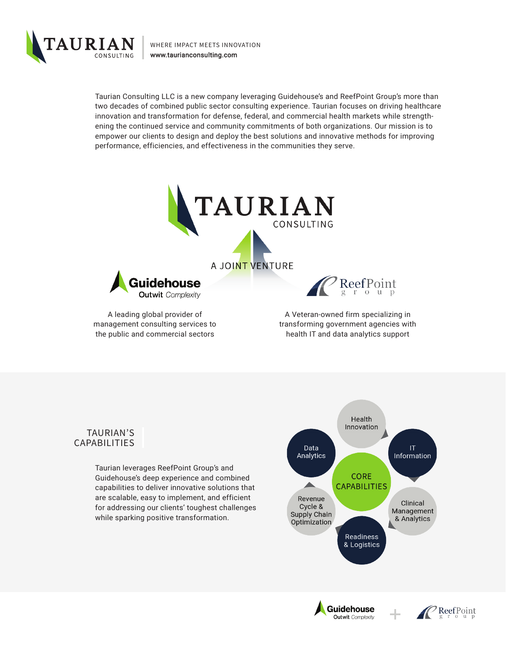

WHERE IMPACT MEETS INNOVATION [www.taurianconsulting.com](http://www.taurianconsulting.com)

Taurian Consulting LLC is a new company leveraging Guidehouse's and ReefPoint Group's more than two decades of combined public sector consulting experience. Taurian focuses on driving healthcare innovation and transformation for defense, federal, and commercial health markets while strengthening the continued service and community commitments of both organizations. Our mission is to empower our clients to design and deploy the best solutions and innovative methods for improving performance, efficiencies, and effectiveness in the communities they serve.



A leading global provider of management consulting services to the public and commercial sectors

A Veteran-owned firm specializing in transforming government agencies with health IT and data analytics support

## TAURIAN'S CAPABILITIES

Taurian leverages ReefPoint Group's and Guidehouse's deep experience and combined capabilities to deliver innovative solutions that are scalable, easy to implement, and efficient for addressing our clients' toughest challenges while sparking positive transformation.